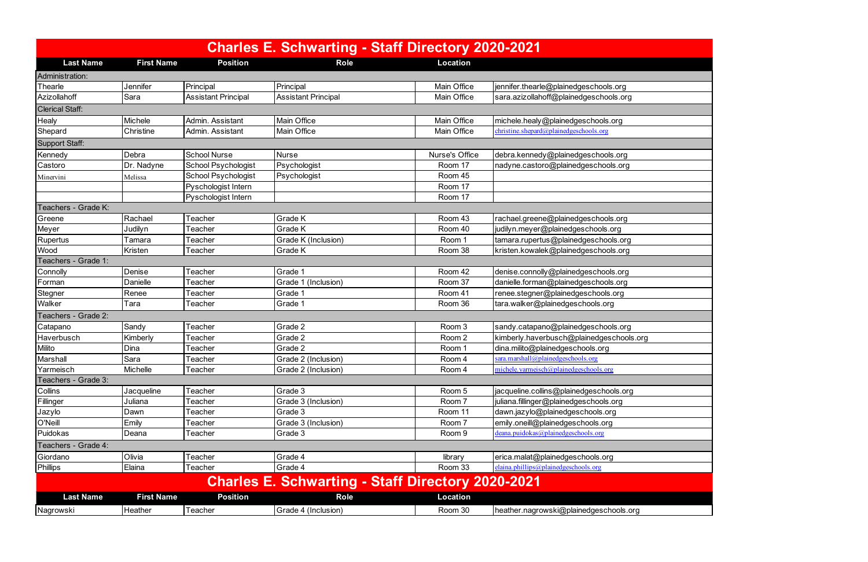| <b>Charles E. Schwarting - Staff Directory 2020-2021</b>                                                        |                   |                            |                            |                    |                                             |  |  |  |  |
|-----------------------------------------------------------------------------------------------------------------|-------------------|----------------------------|----------------------------|--------------------|---------------------------------------------|--|--|--|--|
| <b>Last Name</b>                                                                                                | <b>First Name</b> | <b>Position</b>            | <b>Role</b>                | <b>Location</b>    |                                             |  |  |  |  |
| Administration:                                                                                                 |                   |                            |                            |                    |                                             |  |  |  |  |
| Thearle                                                                                                         | Jennifer          | Principal                  | Principal                  | <b>Main Office</b> | jennifer.thearle@plainedgeschools.org       |  |  |  |  |
| Azizollahoff                                                                                                    | Sara              | <b>Assistant Principal</b> | <b>Assistant Principal</b> | Main Office        | sara.azizollahoff@plainedgeschools.org      |  |  |  |  |
| <b>Clerical Staff:</b>                                                                                          |                   |                            |                            |                    |                                             |  |  |  |  |
| Healy                                                                                                           | Michele           | Admin, Assistant           | <b>Main Office</b>         | <b>Main Office</b> | michele.healy@plainedgeschools.org          |  |  |  |  |
| Shepard                                                                                                         | Christine         | Admin. Assistant           | <b>Main Office</b>         | Main Office        | $christine, shepard@plained ge schools.org$ |  |  |  |  |
| Support Staff:                                                                                                  |                   |                            |                            |                    |                                             |  |  |  |  |
| Kennedy<br><b>School Nurse</b><br>Nurse's Office<br>debra.kennedy@plainedgeschools.org<br>Debra<br><b>Nurse</b> |                   |                            |                            |                    |                                             |  |  |  |  |
| Castoro                                                                                                         | Dr. Nadyne        | School Psychologist        | Psychologist               | Room 17            | nadyne.castoro@plainedgeschools.org         |  |  |  |  |
| Minervini                                                                                                       | Melissa           | School Psychologist        | Psychologist               | Room 45            |                                             |  |  |  |  |
|                                                                                                                 |                   | Pyschologist Intern        |                            | Room 17            |                                             |  |  |  |  |
|                                                                                                                 |                   | Pyschologist Intern        |                            | Room 17            |                                             |  |  |  |  |
| Teachers - Grade K:                                                                                             |                   |                            |                            |                    |                                             |  |  |  |  |
| Greene                                                                                                          | Rachael           | Teacher                    | <b>Grade K</b>             | Room 43            | rachael.greene@plainedgeschools.org         |  |  |  |  |
| Meyer                                                                                                           | Judilyn           | Teacher                    | Grade K                    | Room 40            | judilyn.meyer@plainedgeschools.org          |  |  |  |  |
| Rupertus                                                                                                        | Tamara            | Teacher                    | Grade K (Inclusion)        | Room 1             | tamara.rupertus@plainedgeschools.org        |  |  |  |  |
| Wood                                                                                                            | Kristen           | Teacher                    | <b>Grade K</b>             | Room 38            | kristen.kowalek@plainedgeschools.org        |  |  |  |  |
| Teachers - Grade 1:                                                                                             |                   |                            |                            |                    |                                             |  |  |  |  |
| Connolly                                                                                                        | Denise            | Teacher                    | Grade 1                    | Room 42            | denise.connolly@plainedgeschools.org        |  |  |  |  |
| Forman                                                                                                          | Danielle          | Teacher                    | Grade 1 (Inclusion)        | Room 37            | danielle.forman@plainedgeschools.org        |  |  |  |  |
| Stegner                                                                                                         | Renee             | Teacher                    | Grade 1                    | Room 41            | renee.stegner@plainedgeschools.org          |  |  |  |  |
| Walker                                                                                                          | Tara              | Teacher                    | Grade 1                    | Room 36            | tara.walker@plainedgeschools.org            |  |  |  |  |
| Teachers - Grade 2:                                                                                             |                   |                            |                            |                    |                                             |  |  |  |  |
| Catapano                                                                                                        | Sandy             | Teacher                    | Grade 2                    | Room 3             | sandy.catapano@plainedgeschools.org         |  |  |  |  |
| Haverbusch                                                                                                      | Kimberly          | Teacher                    | Grade 2                    | Room 2             | kimberly.haverbusch@plainedgeschools.org    |  |  |  |  |
| Milito                                                                                                          | Dina              | Teacher                    | Grade 2                    | Room 1             | dina.milito@plainedgeschools.org            |  |  |  |  |
| Marshall                                                                                                        | Sara              | Teacher                    | Grade 2 (Inclusion)        | Room 4             | sara.marshall@plainedgeschools.org          |  |  |  |  |
| Yarmeisch                                                                                                       | <b>Michelle</b>   | Teacher                    | Grade 2 (Inclusion)        | Room 4             | michele.yarmeisch@plainedgeschools.org      |  |  |  |  |
| Teachers - Grade 3:                                                                                             |                   |                            |                            |                    |                                             |  |  |  |  |
| Collins                                                                                                         | Jacqueline        | Teacher                    | Grade 3                    | Room 5             | jacqueline.collins@plainedgeschools.org     |  |  |  |  |
| Fillinger                                                                                                       | Juliana           | Teacher                    | Grade 3 (Inclusion)        | Room 7             | juliana.fillinger@plainedgeschools.org      |  |  |  |  |
| Jazylo                                                                                                          | Dawn              | Геасһег                    | Grade 3                    | Room 11            | dawn.jazylo@plainedgeschools.org            |  |  |  |  |
| O'Neill                                                                                                         | Emily             | Teacher                    | Grade 3 (Inclusion)        | Room 7             | emily.oneill@plainedgeschools.org           |  |  |  |  |
| Puidokas                                                                                                        | Deana             | Teacher                    | Grade 3                    | Room 9             | deana.puidokas@plainedgeschools.org         |  |  |  |  |
| Teachers - Grade 4:                                                                                             |                   |                            |                            |                    |                                             |  |  |  |  |
| Giordano                                                                                                        | Olivia            | Teacher                    | Grade 4                    | library            | erica.malat@plainedgeschools.org            |  |  |  |  |
| <b>Phillips</b>                                                                                                 | Elaina            | Teacher                    | Grade 4                    | Room 33            | elaina.phillips@plainedgeschools.org        |  |  |  |  |
|                                                                                                                 |                   |                            |                            |                    |                                             |  |  |  |  |
| <b>Charles E. Schwarting - Staff Directory 2020-2021</b>                                                        |                   |                            |                            |                    |                                             |  |  |  |  |
| <b>Last Name</b>                                                                                                | <b>First Name</b> | <b>Position</b>            | <b>Role</b>                | <b>Location</b>    |                                             |  |  |  |  |
| Nagrowski                                                                                                       | Heather           | Teacher                    | Grade 4 (Inclusion)        | Room 30            | heather.nagrowski@plainedgeschools.org      |  |  |  |  |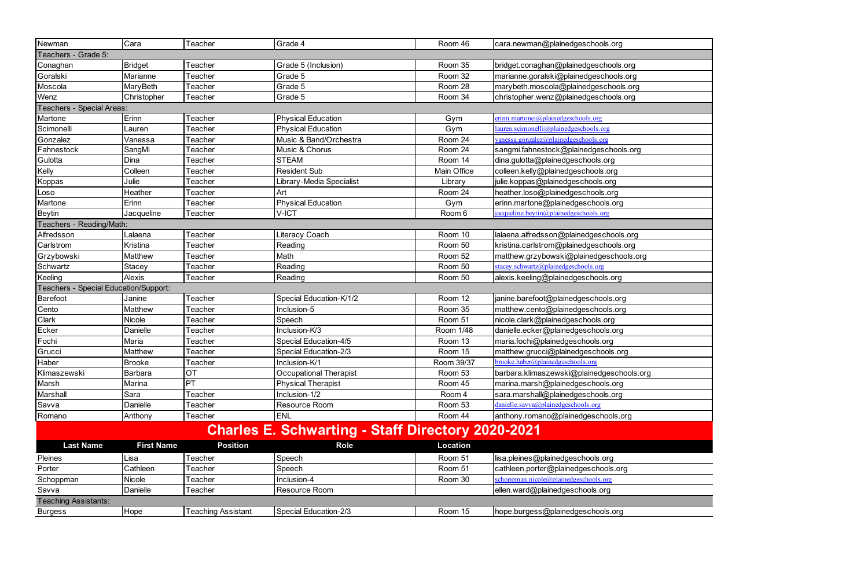| Newman                                                   | Cara              | Teacher                   | Grade 4                       | Room 46     | cara.newman@plainedgeschools.org                |  |  |
|----------------------------------------------------------|-------------------|---------------------------|-------------------------------|-------------|-------------------------------------------------|--|--|
| Teachers - Grade 5:                                      |                   |                           |                               |             |                                                 |  |  |
| Conaghan                                                 | Bridget           | Teacher                   | Grade 5 (Inclusion)           | Room 35     | bridget.conaghan@plainedgeschools.org           |  |  |
| Goralski                                                 | Marianne          | Teacher                   | Grade 5                       | Room 32     | marianne.goralski@plainedgeschools.org          |  |  |
| Moscola                                                  | <b>MaryBeth</b>   | Teacher                   | Grade 5                       | Room 28     | marybeth.moscola@plainedgeschools.org           |  |  |
| Wenz                                                     | Christopher       | Teacher                   | Grade 5                       | Room 34     | christopher.wenz@plainedgeschools.org           |  |  |
| <b>Special Areas:</b><br><b>Teachers</b>                 |                   |                           |                               |             |                                                 |  |  |
| Martone                                                  | Erinn             | Teacher                   | <b>Physical Education</b>     | Gym         | erinn.martonei@plainedgeschools.org             |  |  |
| Scimonelli                                               | Lauren            | Teacher                   | <b>Physical Education</b>     | Gym         | lauren.scimonelli@plainedgeschools.org          |  |  |
| Gonzalez                                                 | Vanessa           | Teacher                   | Music & Band/Orchestra        | Room 24     | vanessa.gonzalez@plainedgeschools.org           |  |  |
| Fahnestock                                               | SangMi            | Teacher                   | Music & Chorus                | Room 24     | sangmi.fahnestock@plainedgeschools.org          |  |  |
| Gulotta                                                  | Dina              | Teacher                   | <b>STEAM</b>                  | Room 14     | dina.gulotta@plainedgeschools.org               |  |  |
| Kelly                                                    | Colleen           | Teacher                   | <b>Resident Sub</b>           | Main Office | colleen.kelly@plainedgeschools.org              |  |  |
| Koppas                                                   | Julie             | Teacher                   | Library-Media Specialist      | Library     | julie.koppas@plainedgeschools.org               |  |  |
| Loso                                                     | Heather           | Teacher                   | Art                           | Room 24     | heather.loso@plainedgeschools.org               |  |  |
| Martone                                                  | Erinn             | Teacher                   | <b>Physical Education</b>     | Gym         | erinn.martone@plainedgeschools.org              |  |  |
| <b>Beytin</b>                                            | Jacqueline        | Teacher                   | V-ICT                         | Room 6      | jacqueline.beytin@plainedgeschools.org          |  |  |
| Teachers - Reading/Math:                                 |                   |                           |                               |             |                                                 |  |  |
| Alfredsson                                               | Lalaena           | Teacher                   | Literacy Coach                | Room 10     | lalaena.alfredsson@plainedgeschools.org         |  |  |
| Carlstrom                                                | Kristina          | Teacher                   | Reading                       | Room 50     | kristina.carlstrom@plainedgeschools.org         |  |  |
| Grzybowski                                               | Matthew           | Teacher                   | Math                          | Room 52     | matthew.grzybowski@plainedgeschools.org         |  |  |
| Schwartz                                                 | Stacey            | Teacher                   | Reading                       | Room 50     | stacey.schwartz@plainedgeschools.org            |  |  |
| Keeling                                                  | Alexis            | Teacher                   | Reading                       | Room 50     | alexis.keeling@plainedgeschools.org             |  |  |
| Teachers - Special Education/Support:                    |                   |                           |                               |             |                                                 |  |  |
| Barefoot                                                 | Janine            | Teacher                   | Special Education-K/1/2       | Room 12     | janine.barefoot@plainedgeschools.org            |  |  |
| Cento                                                    | Matthew           | Teacher                   | Inclusion-5                   | Room 35     | matthew.cento@plainedgeschools.org              |  |  |
| Clark                                                    | Nicole            | Teacher                   | Speech                        | Room 51     | nicole.clark@plainedgeschools.org               |  |  |
| Ecker                                                    | Danielle          | Teacher                   | Inclusion-K/3                 | Room 1/48   | danielle.ecker@plainedgeschools.org             |  |  |
| Fochi                                                    | Maria             | Teacher                   | Special Education-4/5         | Room 13     | maria.fochi@plainedgeschools.org                |  |  |
| Grucci                                                   | Matthew           | Teacher                   | Special Education-2/3         | Room 15     | matthew.grucci@plainedgeschools.org             |  |  |
| Haber                                                    | <b>Brooke</b>     | Teacher                   | Inclusion-K/1                 | Room 39/37  | brooke.haber@plainedgeschools.org               |  |  |
| Klimaszewski                                             | <b>Barbara</b>    | <b>OT</b>                 | <b>Occupational Therapist</b> | Room 53     | barbara.klimaszewski@plainedgeschools.org       |  |  |
| Marsh                                                    | Marina            | PT                        | <b>Physical Therapist</b>     | Room 45     | marina.marsh@plainedgeschools.org               |  |  |
| Marshall                                                 | Sara              | Teacher                   | Inclusion-1/2                 | Room 4      | sara.marshall@plainedgeschools.org              |  |  |
| Savva                                                    | Danielle          | Teacher                   | Resource Room                 | Room 53     | $danielle$ .savva $\omega$ plainedgeschools.org |  |  |
| Romano                                                   | Anthony           | Teacher                   | <b>ENL</b>                    | Room 44     | anthony.romano@plainedgeschools.org             |  |  |
|                                                          |                   |                           |                               |             |                                                 |  |  |
| <b>Charles E. Schwarting - Staff Directory 2020-2021</b> |                   |                           |                               |             |                                                 |  |  |
| <b>Last Name</b>                                         | <b>First Name</b> | <b>Position</b>           | <b>Role</b>                   | Location    |                                                 |  |  |
| Pleines                                                  | Lisa              | Teacher                   | Speech                        | Room 51     | lisa.pleines@plainedgeschools.org               |  |  |
| Porter                                                   | Cathleen          | Teacher                   | Speech                        | Room 51     | cathleen.porter@plainedgeschools.org            |  |  |
| Schoppman                                                | Nicole            | Teacher                   | Inclusion-4                   | Room 30     | schoppman.nicole@plainedgeschools.org           |  |  |
| Savva                                                    | Danielle          | Teacher                   | Resource Room                 |             | ellen.ward@plainedgeschools.org                 |  |  |
| <b>Teaching Assistants:</b>                              |                   |                           |                               |             |                                                 |  |  |
| <b>Burgess</b>                                           | <b>Hope</b>       | <b>Teaching Assistant</b> | Special Education-2/3         | Room 15     | hope.burgess@plainedgeschools.org               |  |  |
|                                                          |                   |                           |                               |             |                                                 |  |  |